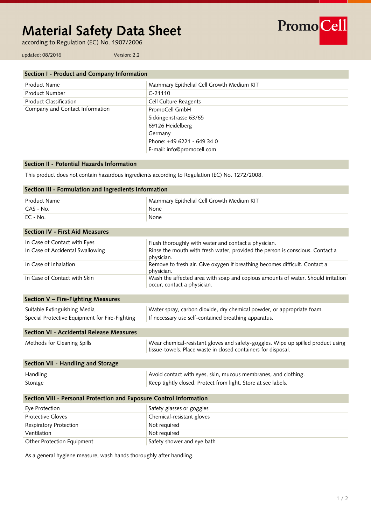# **Material Safety Data Sheet**

according to Regulation (EC) No. 1907/2006

PromoCell

updated: 08/2016 Version: 2.2

| Section I - Product and Company Information |                                           |
|---------------------------------------------|-------------------------------------------|
| Product Name                                | Mammary Epithelial Cell Growth Medium KIT |
| <b>Product Number</b>                       | $C-21110$                                 |
| <b>Product Classification</b>               | <b>Cell Culture Reagents</b>              |
| Company and Contact Information             | PromoCell GmbH                            |
|                                             | Sickingenstrasse 63/65                    |
|                                             | 69126 Heidelberg                          |
|                                             | Germany                                   |
|                                             | Phone: +49 6221 - 649 34 0                |
|                                             | E-mail: info@promocell.com                |

## **Section II - Potential Hazards Information**

This product does not contain hazardous ingredients according to Regulation (EC) No. 1272/2008.

| Section III - Formulation and Ingredients Information               |                                                                                                                                                   |  |
|---------------------------------------------------------------------|---------------------------------------------------------------------------------------------------------------------------------------------------|--|
| <b>Product Name</b>                                                 | Mammary Epithelial Cell Growth Medium KIT                                                                                                         |  |
| CAS - No.                                                           | None                                                                                                                                              |  |
| EC - No.                                                            | None                                                                                                                                              |  |
| <b>Section IV - First Aid Measures</b>                              |                                                                                                                                                   |  |
| In Case of Contact with Eyes                                        | Flush thoroughly with water and contact a physician.                                                                                              |  |
| In Case of Accidental Swallowing                                    | Rinse the mouth with fresh water, provided the person is conscious. Contact a<br>physician.                                                       |  |
| In Case of Inhalation                                               | Remove to fresh air. Give oxygen if breathing becomes difficult. Contact a<br>physician.                                                          |  |
| In Case of Contact with Skin                                        | Wash the affected area with soap and copious amounts of water. Should irritation<br>occur, contact a physician.                                   |  |
| Section V - Fire-Fighting Measures                                  |                                                                                                                                                   |  |
| Suitable Extinguishing Media                                        | Water spray, carbon dioxide, dry chemical powder, or appropriate foam.                                                                            |  |
| Special Protective Equipment for Fire-Fighting                      | If necessary use self-contained breathing apparatus.                                                                                              |  |
| Section VI - Accidental Release Measures                            |                                                                                                                                                   |  |
| Methods for Cleaning Spills                                         | Wear chemical-resistant gloves and safety-goggles. Wipe up spilled product using<br>tissue-towels. Place waste in closed containers for disposal. |  |
| Section VII - Handling and Storage                                  |                                                                                                                                                   |  |
| Handling                                                            | Avoid contact with eyes, skin, mucous membranes, and clothing.                                                                                    |  |
| Storage                                                             | Keep tightly closed. Protect from light. Store at see labels.                                                                                     |  |
| Section VIII - Personal Protection and Exposure Control Information |                                                                                                                                                   |  |
| Eye Protection                                                      | Safety glasses or goggles                                                                                                                         |  |
| <b>Protective Gloves</b>                                            | Chemical-resistant gloves                                                                                                                         |  |
| Respiratory Protection                                              | Not required                                                                                                                                      |  |
| Ventilation                                                         | Not required                                                                                                                                      |  |
| Other Protection Equipment                                          | Safety shower and eye bath                                                                                                                        |  |

As a general hygiene measure, wash hands thoroughly after handling.